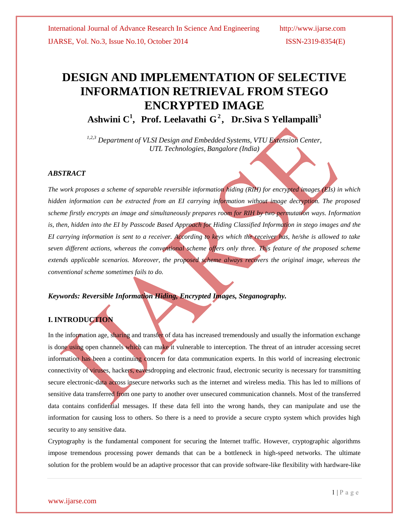# **DESIGN AND IMPLEMENTATION OF SELECTIVE INFORMATION RETRIEVAL FROM STEGO ENCRYPTED IMAGE**

**Ashwini C 1 , Prof. Leelavathi G 2 , Dr.Siva S Yellampalli<sup>3</sup>**

*1,2,3 Department of VLSI Design and Embedded Systems, VTU Extension Center, UTL Technologies, Bangalore (India)*

## *ABSTRACT*

*The work proposes a scheme of separable reversible information hiding (RIH) for encrypted images (EIs) in which hidden information can be extracted from an EI carrying information without image decryption. The proposed scheme firstly encrypts an image and simultaneously prepares room for RIH by two permutation ways. Information*  is, then, hidden into the EI by Passcode Based Approach for Hiding Classified Information in stego images and the *EI carrying information is sent to a receiver. According to keys which the receiver has, he/she is allowed to take seven different actions, whereas the conventional scheme offers only three. This feature of the proposed scheme extends applicable scenarios. Moreover, the proposed scheme always recovers the original image, whereas the conventional scheme sometimes fails to do.*

## *Keywords: Reversible Information Hiding, Encrypted Images, Steganography.*

## **I. INTRODUCTION**

In the information age, sharing and transfer of data has increased tremendously and usually the information exchange is done using open channels which can make it vulnerable to interception. The threat of an intruder accessing secret information has been a continuing concern for data communication experts. In this world of increasing electronic connectivity of viruses, hackers, eavesdropping and electronic fraud, electronic security is necessary for transmitting secure electronic-data across insecure networks such as the internet and wireless media. This has led to millions of sensitive data transferred from one party to another over unsecured communication channels. Most of the transferred data contains confidential messages. If these data fell into the wrong hands, they can manipulate and use the information for causing loss to others. So there is a need to provide a secure crypto system which provides high security to any sensitive data.

Cryptography is the fundamental component for securing the Internet traffic. However, cryptographic algorithms impose tremendous processing power demands that can be a bottleneck in high-speed networks. The ultimate solution for the problem would be an adaptive processor that can provide software-like flexibility with hardware-like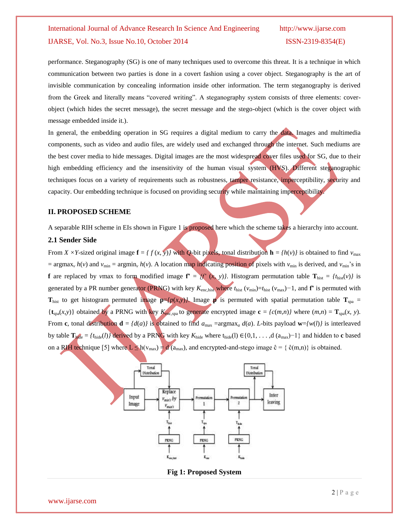performance. Steganography (SG) is one of many techniques used to overcome this threat. It is a technique in which communication between two parties is done in a covert fashion using a cover object. Steganography is the art of invisible communication by concealing information inside other information. The term steganography is derived from the Greek and literally means "covered writing". A steganography system consists of three elements: coverobject (which hides the secret message), the secret message and the stego-object (which is the cover object with message embedded inside it.).

In general, the embedding operation in SG requires a digital medium to carry the data. Images and multimedia components, such as video and audio files, are widely used and exchanged through the internet. Such mediums are the best cover media to hide messages. Digital images are the most widespread cover files used for SG, due to their high embedding efficiency and the insensitivity of the human visual system (HVS). Different steganographic techniques focus on a variety of requirements such as robustness, tamper resistance, imperceptibility, security and capacity. Our embedding technique is focused on providing security while maintaining imperceptibility.

## **II. PROPOSED SCHEME**

A separable RIH scheme in EIs shown in Figure 1 is proposed here which the scheme takes a hierarchy into account.

#### **2.1 Sender Side**

From *X* ×*Y*-sized original image  $\mathbf{f} = \{f(x, y)\}$  with *Q*-bit pixels, tonal distribution  $\mathbf{h} = \{h(y)\}$  is obtained to find  $v_{\text{max}}$  $=$  argmax<sub>*v*</sub> *h*(*v*) and  $v_{\min}$  = argmin<sub>*v*</sub> *h*(*v*). A location map indicating position of pixels with  $v_{\min}$  is derived, and  $v_{\min}$ 's in **f** are replaced by *vmax* to form modified image  $f' = {f'(x, y)}$ . Histogram permutation table  $T_{hist} = {t_{hist}(v)}$  is generated by a PR number generator (PRNG) with key  $K_{\text{enc, hist}}$  where  $t_{\text{hist}}$  ( $v_{\text{min}}$ )= $t_{\text{hist}}$  ( $v_{\text{max}}$ )−1, and **f'** is permuted with **T**<sub>hist</sub> to get histogram permuted image  $p=(p(x,y))$ . Image **p** is permuted with spatial permutation table  $T_{spa}$  =  ${\bf t}_{\text{spa}}(x,y)$  obtained by a PRNG with key  $K_{\text{enc,spa}}$  to generate encrypted image  ${\bf c} = {c(m,n)}$  where  $(m,n) = {\bf T}_{\text{spa}}(x, y)$ . From **c**, tonal distribution  $\mathbf{d} = \{d(a)\}\$ is obtained to find  $a_{\text{max}} = \argmax_a d(a)$ . *L*-bits payload  $\mathbf{w} = \{w(l)\}\$ is interleaved by table  $\mathbf{T}_{\text{hide}} = \{t_{\text{hide}}(l)\}\$  derived by a PRNG with key  $K_{\text{hide}}$  where  $t_{\text{hide}}(l) \in \{0,1,\ldots,d$   $(a_{\text{max}})-1\}$  and hidden to **c** based on a RIH technique [5] where  $L \leq h(v_{max}) = d(a_{max})$ , and encrypted-and-stego image  $\hat{c} = \{ \hat{c}(m,n) \}$  is obtained.



**Fig 1: Proposed System**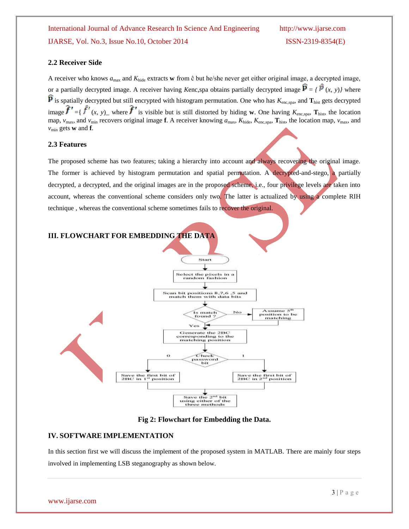## **2.2 Receiver Side**

A receiver who knows  $a_{\text{max}}$  and  $K_{\text{hide}}$  extracts **w** from  $\hat{c}$  but he/she never get either original image, a decrypted image, or a partially decrypted image. A receiver having *Kenc*, spa obtains partially decrypted image  $\hat{P} = \hat{p}(x, y)$  where  $\bf{P}$  is spatially decrypted but still encrypted with histogram permutation. One who has  $K_{\rm enc,spa}$ , and  $\bf{T}_{\rm hist}$  gets decrypted image  $\boldsymbol{J} = \{ \boldsymbol{J} \mid (x, y) \}$  where  $\boldsymbol{J}$  is visible but is still distorted by hiding **w**. One having  $K_{\text{enc,spa}}$ ,  $\mathbf{T}_{\text{hist}}$ , the location map,  $v_{\text{max}}$ , and  $v_{\text{min}}$  recovers original image **f**. A receiver knowing  $a_{\text{max}}$ ,  $K_{\text{hide}}$ ,  $K_{\text{enc,spa}}$ ,  $\mathbf{T}_{\text{hist}}$ , the location map,  $v_{\text{max}}$ , and  $v_{\text{min}}$  gets **w** and **f**.

## **2.3 Features**

The proposed scheme has two features; taking a hierarchy into account and always recovering the original image. The former is achieved by histogram permutation and spatial permutation. A decrypted-and-stego, a partially decrypted, a decrypted, and the original images are in the proposed scheme, i.e., four privilege levels are taken into account, whereas the conventional scheme considers only two. The latter is actualized by using a complete RIH technique , whereas the conventional scheme sometimes fails to recover the original.



**Fig 2: Flowchart for Embedding the Data.**

## **IV. SOFTWARE IMPLEMENTATION**

In this section first we will discuss the implement of the proposed system in MATLAB. There are mainly four steps involved in implementing LSB steganography as shown below.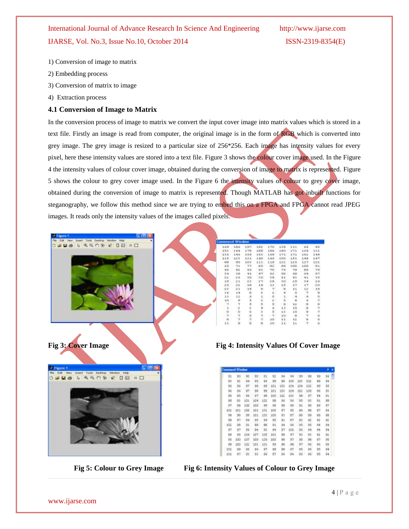- 1) Conversion of image to matrix
- 2) Embedding process
- 3) Conversion of matrix to image
- 4) Extraction process

## **4.1 Conversion of Image to Matrix**

In the conversion process of image to matrix we convert the input cover image into matrix values which is stored in a text file. Firstly an image is read from computer, the original image is in the form of RGB which is converted into grey image. The grey image is resized to a particular size of 256\*256. Each image has intensity values for every pixel, here these intensity values are stored into a text file. Figure 3 shows the colour cover image used. In the Figure 4 the intensity values of colour cover image, obtained during the conversion of image to matrix is represented. Figure 5 shows the colour to grey cover image used. In the Figure 6 the intensity values of colour to grey cover image, obtained during the conversion of image to matrix is represented. Though MATLAB has got inbuilt functions for steganography, we follow this method since we are trying to embed this on a FPGA and FPGA cannot read JPEG images. It reads only the intensity values of the images called pixels.





|     | <b>Comment Window</b> |         |     |        |     |     |     |       |                  |    |    |  |
|-----|-----------------------|---------|-----|--------|-----|-----|-----|-------|------------------|----|----|--|
| 9İ  | 90                    | 90      | 90  | 91     | 92  | 94  | 94  | 99    | 98               | 98 | 98 |  |
| 93  | 93                    | $^{54}$ | 45  | 9d     | 38  | 99  | 100 | 103   | 100 <sub>z</sub> | 99 | Pś |  |
| 96  | 96                    | 97.     | 98  | 99     | 101 | 103 | 104 | 104   | 102              | 99 | 95 |  |
| 96  | 96                    | 97      | 98  | P9     | 101 | 101 | 104 | 101   | 1.00             | 96 | 93 |  |
| 95  | ū5                    | oë      | 97  | œ      | 100 | 102 | 103 | DB.   | 97.              | 94 | 91 |  |
| 88  | 93                    | 10t     | 104 | 182    | 98  | 96  | 96  | 95    | 98               | 91 | 89 |  |
| 97  | 95                    | 100     | 100 | 99     | 98  | 98  | 99  | 弭     | 90               | 89 | 87 |  |
| 102 | 101                   | tóg     | 101 | 101    | 100 | 97  | 95  | 89    | 88               | 87 | 55 |  |
| 99  | 99                    | 99      | 101 | £83    | 100 | 93  | .87 | $-89$ | BS.              | 88 | 88 |  |
| 99  | 97                    | $^{94}$ | 95  | PE.    | 95  | 91  | 187 | 93    | RP.              | 92 | 鸵  |  |
| 102 | 98                    | 91      | 88  | 88     | 91  | 94  | 9é  | 95    | 95               | 94 | 54 |  |
| 97  | 97                    | 96      | 94  | 93     | 94  | 97  | 100 | 95    | 99.              | 94 | 94 |  |
| 89  | 95                    | DD4     | 107 | 105    | 101 | 98  | 97  | 93    | 95               | 92 | 92 |  |
| 95  | 100                   | tΰ9     | 109 | 105    | 100 | 98  | 97  | 99    | šé               | 97 | 95 |  |
| 98  | 180                   | 102     | 101 | $-101$ | 99  | B8  | 98  | 97    | 96               | 96 | 95 |  |
| 101 | 99                    | Dé      | 96  | PT.    | 98  | tan | 97  | us    | PS-              | 95 | 94 |  |
| 101 | 97                    | 93      | 91  | $-96$  | 97  | 96  | 94  | 96    | 96.              | 95 | 94 |  |

**Fig 5: Colour to Grey Image Fig 6: Intensity Values of Colour to Grey Image**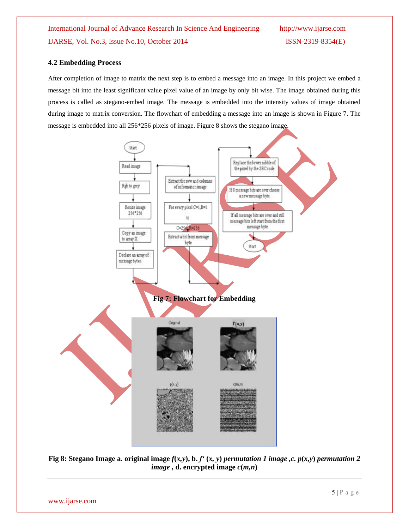### **4.2 Embedding Process**

After completion of image to matrix the next step is to embed a message into an image. In this project we embed a message bit into the least significant value pixel value of an image by only bit wise. The image obtained during this process is called as stegano-embed image. The message is embedded into the intensity values of image obtained during image to matrix conversion. The flowchart of embedding a message into an image is shown in Figure 7. The message is embedded into all 256\*256 pixels of image. Figure 8 shows the stegano image.



**Fig 8: Stegano Image a. original image**  $f(x,y)$ **, b.**  $f'(x, y)$  **permutation 1 image ,c.**  $p(x,y)$  **permutation 2** *image* **, d.** encrypted image  $c(m,n)$ 

www.ijarse.com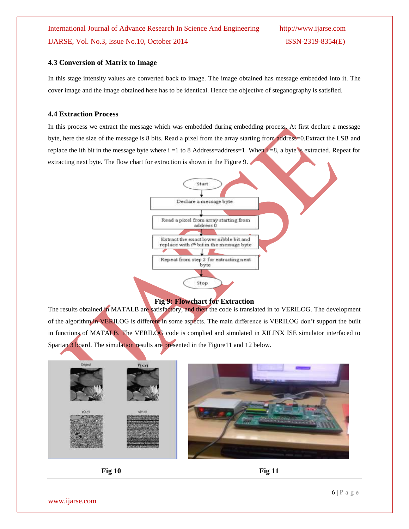## **4.3 Conversion of Matrix to Image**

In this stage intensity values are converted back to image. The image obtained has message embedded into it. The cover image and the image obtained here has to be identical. Hence the objective of steganography is satisfied.

### **4.4 Extraction Process**

In this process we extract the message which was embedded during embedding process. At first declare a message byte, here the size of the message is 8 bits. Read a pixel from the array starting from address=0.Extract the LSB and replace the ith bit in the message byte where  $i = 1$  to 8 Address=address=1. When  $i = 8$ , a byte is extracted. Repeat for extracting next byte. The flow chart for extraction is shown in the Figure 9.



## **Fig 9: Flowchart for Extraction**

The results obtained in MATALB are satisfactory, and then the code is translated in to VERILOG. The development of the algorithm in VERILOG is different in some aspects. The main difference is VERILOG don't support the built in functions of MATALB. The VERILOG code is complied and simulated in XILINX ISE simulator interfaced to Spartan 3 board. The simulation results are presented in the Figure11 and 12 below.



**Fig** 10 **Fig** 11

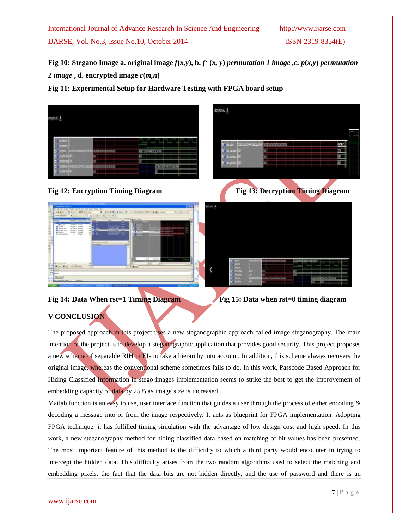**Fig** 10: Stegano Image a. original image  $f(x, y)$ , b.  $f'(x, y)$  permutation 1 image ,c.  $p(x, y)$  permutation 2 *image*, **d.** encrypted image  $c(m,n)$ 

eyne K y

**Fig 11: Experimental Setup for Hardware Testing with FPGA board setup**



**Fig 12: Encryption Timing Diagram Fig 13: Decryption Timing Diagram** 





**Fig 14: Data When rst=1 Timing Diagram Fig 15: Data when rst=0 timing diagram** 

## **V CONCLUSION**

The proposed approach in this project uses a new steganographic approach called image steganography. The main intention of the project is to develop a steganographic application that provides good security. This project proposes a new scheme of separable RIH in EIs to take a hierarchy into account. In addition, this scheme always recovers the original image, whereas the conventional scheme sometimes fails to do. In this work, Passcode Based Approach for Hiding Classified Information in stego images implementation seems to strike the best to get the improvement of embedding capacity of data by 25% as image size is increased.

Matlab function is an easy to use, user interface function that guides a user through the process of either encoding  $\&$ decoding a message into or from the image respectively. It acts as blueprint for FPGA implementation. Adopting FPGA technique, it has fulfilled timing simulation with the advantage of low design cost and high speed. In this work, a new steganography method for hiding classified data based on matching of bit values has been presented. The most important feature of this method is the difficulty to which a third party would encounter in trying to intercept the hidden data. This difficulty arises from the two random algorithms used to select the matching and embedding pixels, the fact that the data bits are not hidden directly, and the use of password and there is an